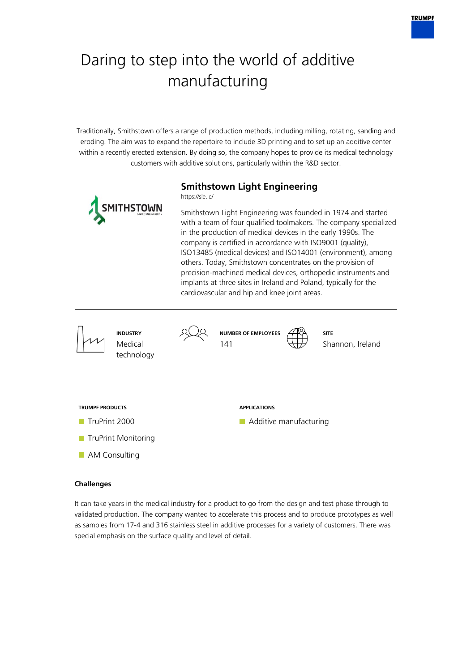# Daring to step into the world of additive manufacturing

Traditionally, Smithstown offers a range of production methods, including milling, rotating, sanding and eroding. The aim was to expand the repertoire to include 3D printing and to set up an additive center within a recently erected extension. By doing so, the company hopes to provide its medical technology customers with additive solutions, particularly within the R&D sector.



### **Challenges**

It can take years in the medical industry for a product to go from the design and test phase through to validated production. The company wanted to accelerate this process and to produce prototypes as well as samples from 17-4 and 316 stainless steel in additive processes for a variety of customers. There was special emphasis on the surface quality and level of detail.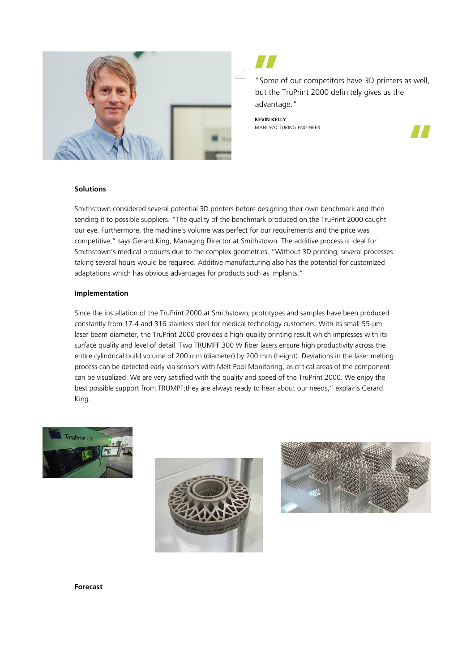

"Some of our competitors have 3D printers as well, but the TruPrint 2000 definitely gives us the advantage."

**KEVIN KELLY** MANUFACTURING ENGINEER



#### **Solutions**

Smithstown considered several potential 3D printers before designing their own benchmark and then sending it to possible suppliers. "The quality of the benchmark produced on the TruPrint 2000 caught our eye. Furthermore, the machine's volume was perfect for our requirements and the price was competitive," says Gerard King, Managing Director at Smithstown. The additive process is ideal for Smithstown's medical products due to the complex geometries. "Without 3D printing, several processes taking several hours would be required. Additive manufacturing also has the potential for customized adaptations which has obvious advantages for products such as implants."

#### **Implementation**

Since the installation of the TruPrint 2000 at Smithstown, prototypes and samples have been produced constantly from 17-4 and 316 stainless steel for medical technology customers. With its small 55-µm laser beam diameter, the TruPrint 2000 provides a high-quality printing result which impresses with its surface quality and level of detail. Two TRUMPF 300 W fiber lasers ensure high productivity across the entire cylindrical build volume of 200 mm (diameter) by 200 mm (height). Deviations in the laser melting process can be detected early via sensors with Melt Pool Monitoring, as critical areas of the component can be visualized. We are very satisfied with the quality and speed of the TruPrint 2000. We enjoy the best possible support from TRUMPF;they are always ready to hear about our needs," explains Gerard King.







**Forecast**